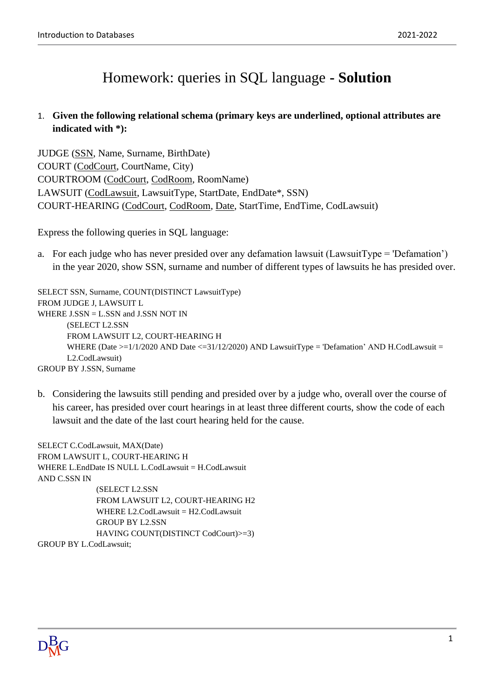## Homework: queries in SQL language **- Solution**

## 1. **Given the following relational schema (primary keys are underlined, optional attributes are indicated with \*):**

JUDGE (SSN, Name, Surname, BirthDate) COURT (CodCourt, CourtName, City) COURTROOM (CodCourt, CodRoom, RoomName) LAWSUIT (CodLawsuit, LawsuitType, StartDate, EndDate\*, SSN) COURT-HEARING (CodCourt, CodRoom, Date, StartTime, EndTime, CodLawsuit)

Express the following queries in SQL language:

a. For each judge who has never presided over any defamation lawsuit (LawsuitType = 'Defamation') in the year 2020, show SSN, surname and number of different types of lawsuits he has presided over.

SELECT SSN, Surname, COUNT(DISTINCT LawsuitType) FROM JUDGE J, LAWSUIT L WHERE  $J.SSN = L.SSN$  and  $J.SSN NOT IN$ (SELECT L2.SSN FROM LAWSUIT L2, COURT-HEARING H WHERE (Date >=1/1/2020 AND Date <= 31/12/2020) AND LawsuitType = 'Defamation' AND H.CodLawsuit = L2.CodLawsuit) GROUP BY J.SSN, Surname

b. Considering the lawsuits still pending and presided over by a judge who, overall over the course of his career, has presided over court hearings in at least three different courts, show the code of each lawsuit and the date of the last court hearing held for the cause.

SELECT C.CodLawsuit, MAX(Date) FROM LAWSUIT L, COURT-HEARING H WHERE L.EndDate IS NULL L.CodLawsuit = H.CodLawsuit AND C.SSN IN (SELECT L2.SSN FROM LAWSUIT L2, COURT-HEARING H2 WHERE L2.CodLawsuit = H2.CodLawsuit GROUP BY L2.SSN HAVING COUNT(DISTINCT CodCourt)>=3) GROUP BY L.CodLawsuit;

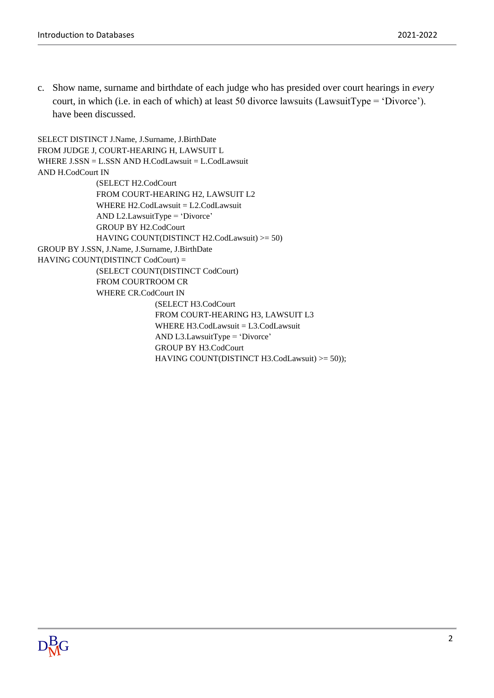c. Show name, surname and birthdate of each judge who has presided over court hearings in *every* court, in which (i.e. in each of which) at least 50 divorce lawsuits (LawsuitType = 'Divorce'). have been discussed.

```
SELECT DISTINCT J.Name, J.Surname, J.BirthDate
FROM JUDGE J, COURT-HEARING H, LAWSUIT L
WHERE J.SSN = L.SSN AND H.CodLawsuit = L.CodLawsuit
AND H.CodCourt IN
             (SELECT H2.CodCourt
             FROM COURT-HEARING H2, LAWSUIT L2
             WHERE H2.CodLawsuit = L2.CodLawsuit
             AND L2.LawsuitType = 'Divorce'
             GROUP BY H2.CodCourt
             HAVING COUNT(DISTINCT H2.CodLawsuit) >= 50)
GROUP BY J.SSN, J.Name, J.Surname, J.BirthDate
HAVING COUNT(DISTINCT CodCourt) =
             (SELECT COUNT(DISTINCT CodCourt)
             FROM COURTROOM CR
             WHERE CR.CodCourt IN
                           (SELECT H3.CodCourt
                           FROM COURT-HEARING H3, LAWSUIT L3
                           WHERE H3.CodLawsuit = L3.CodLawsuit
                           AND L3.LawsuitType = 'Divorce'
                           GROUP BY H3.CodCourt
                           HAVING COUNT(DISTINCT H3.CodLawsuit) >= 50));
```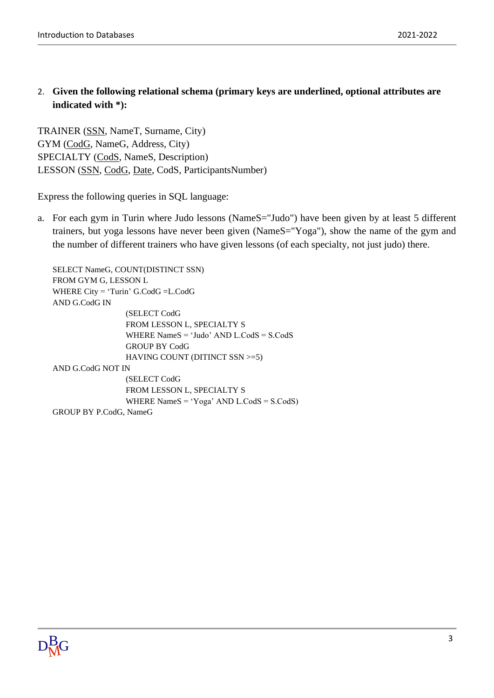2. **Given the following relational schema (primary keys are underlined, optional attributes are indicated with \*):**

TRAINER (SSN, NameT, Surname, City) GYM (CodG, NameG, Address, City) SPECIALTY (CodS, NameS, Description) LESSON (SSN, CodG, Date, CodS, ParticipantsNumber)

Express the following queries in SQL language:

a. For each gym in Turin where Judo lessons (NameS="Judo") have been given by at least 5 different trainers, but yoga lessons have never been given (NameS="Yoga"), show the name of the gym and the number of different trainers who have given lessons (of each specialty, not just judo) there.

SELECT NameG, COUNT(DISTINCT SSN) FROM GYM G, LESSON L WHERE City = 'Turin' G.CodG =L.CodG AND G.CodG IN (SELECT CodG FROM LESSON L, SPECIALTY S WHERE NameS = 'Judo' AND L.CodS = S.CodS GROUP BY CodG HAVING COUNT (DITINCT SSN >=5) AND G.CodG NOT IN (SELECT CodG FROM LESSON L, SPECIALTY S WHERE NameS = 'Yoga' AND L.CodS = S.CodS) GROUP BY P.CodG, NameG